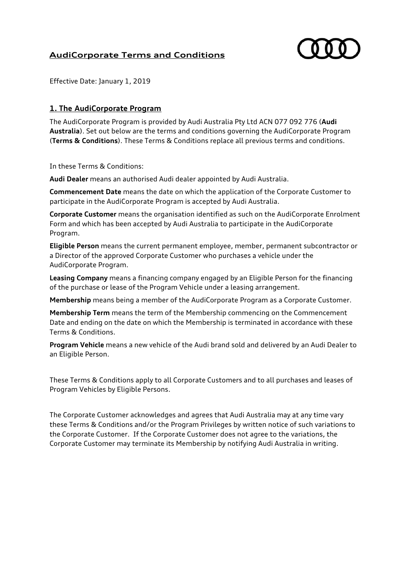# **AudiCorporate Terms and Conditions**



Effective Date: January 1, 2019

#### **1. The AudiCorporate Program**

The AudiCorporate Program is provided by Audi Australia Pty Ltd ACN 077 092 776 (**Audi Australia**). Set out below are the terms and conditions governing the AudiCorporate Program (**Terms & Conditions**). These Terms & Conditions replace all previous terms and conditions.

In these Terms & Conditions:

**Audi Dealer** means an authorised Audi dealer appointed by Audi Australia.

**Commencement Date** means the date on which the application of the Corporate Customer to participate in the AudiCorporate Program is accepted by Audi Australia.

**Corporate Customer** means the organisation identified as such on the AudiCorporate Enrolment Form and which has been accepted by Audi Australia to participate in the AudiCorporate Program.

**Eligible Person** means the current permanent employee, member, permanent subcontractor or a Director of the approved Corporate Customer who purchases a vehicle under the AudiCorporate Program.

**Leasing Company** means a financing company engaged by an Eligible Person for the financing of the purchase or lease of the Program Vehicle under a leasing arrangement.

**Membership** means being a member of the AudiCorporate Program as a Corporate Customer.

**Membership Term** means the term of the Membership commencing on the Commencement Date and ending on the date on which the Membership is terminated in accordance with these Terms & Conditions.

**Program Vehicle** means a new vehicle of the Audi brand sold and delivered by an Audi Dealer to an Eligible Person.

These Terms & Conditions apply to all Corporate Customers and to all purchases and leases of Program Vehicles by Eligible Persons.

The Corporate Customer acknowledges and agrees that Audi Australia may at any time vary these Terms & Conditions and/or the Program Privileges by written notice of such variations to the Corporate Customer. If the Corporate Customer does not agree to the variations, the Corporate Customer may terminate its Membership by notifying Audi Australia in writing.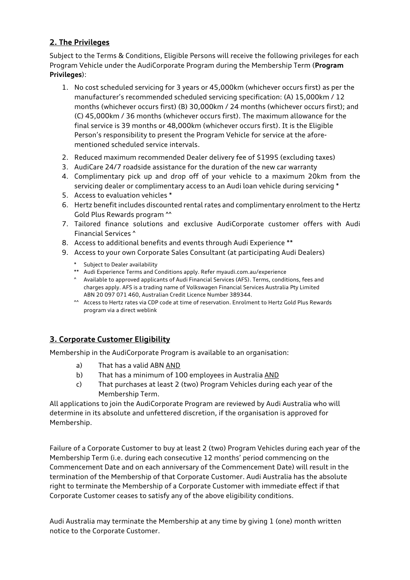# **2. The Privileges**

Subject to the Terms & Conditions, Eligible Persons will receive the following privileges for each Program Vehicle under the AudiCorporate Program during the Membership Term (**Program Privileges**):

- 1. No cost scheduled servicing for 3 years or 45,000km (whichever occurs first) as per the manufacturer's recommended scheduled servicing specification: (A) 15,000km / 12 months (whichever occurs first) (B) 30,000km / 24 months (whichever occurs first); and (C) 45,000km / 36 months (whichever occurs first). The maximum allowance for the final service is 39 months or 48,000km (whichever occurs first). It is the Eligible Person's responsibility to present the Program Vehicle for service at the aforementioned scheduled service intervals.
- 2. Reduced maximum recommended Dealer delivery fee of \$1995 (excluding taxes)
- 3. AudiCare 24/7 roadside assistance for the duration of the new car warranty
- 4. Complimentary pick up and drop off of your vehicle to a maximum 20km from the servicing dealer or complimentary access to an Audi loan vehicle during servicing \*
- 5. Access to evaluation vehicles \*
- 6. Hertz benefit includes discounted rental rates and complimentary enrolment to the Hertz Gold Plus Rewards program ^^
- 7. Tailored finance solutions and exclusive AudiCorporate customer offers with Audi Financial Services ^
- 8. Access to additional benefits and events through Audi Experience \*\*
- 9. Access to your own Corporate Sales Consultant (at participating Audi Dealers)
	- \* Subject to Dealer availability
	- \*\* Audi Experience Terms and Conditions apply. Refer myaudi.com.au/experience
	- ^ Available to approved applicants of Audi Financial Services (AFS). Terms, conditions, fees and charges apply. AFS is a trading name of Volkswagen Financial Services Australia Pty Limited ABN 20 097 071 460, Australian Credit Licence Number 389344.
	- ^^ Access to Hertz rates via CDP code at time of reservation. Enrolment to Hertz Gold Plus Rewards program via a direct weblink

### **3. Corporate Customer Eligibility**

Membership in the AudiCorporate Program is available to an organisation:

- a) That has a valid ABN AND
- b) That has a minimum of 100 employees in Australia AND
- c) That purchases at least 2 (two) Program Vehicles during each year of the Membership Term.

All applications to join the AudiCorporate Program are reviewed by Audi Australia who will determine in its absolute and unfettered discretion, if the organisation is approved for Membership.

Failure of a Corporate Customer to buy at least 2 (two) Program Vehicles during each year of the Membership Term (i.e. during each consecutive 12 months' period commencing on the Commencement Date and on each anniversary of the Commencement Date) will result in the termination of the Membership of that Corporate Customer. Audi Australia has the absolute right to terminate the Membership of a Corporate Customer with immediate effect if that Corporate Customer ceases to satisfy any of the above eligibility conditions.

Audi Australia may terminate the Membership at any time by giving 1 (one) month written notice to the Corporate Customer.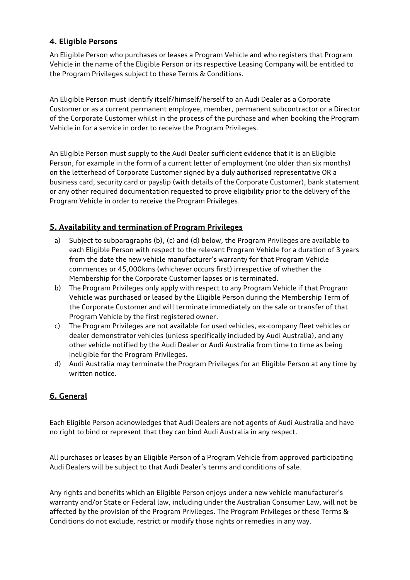### **4. Eligible Persons**

An Eligible Person who purchases or leases a Program Vehicle and who registers that Program Vehicle in the name of the Eligible Person or its respective Leasing Company will be entitled to the Program Privileges subject to these Terms & Conditions.

An Eligible Person must identify itself/himself/herself to an Audi Dealer as a Corporate Customer or as a current permanent employee, member, permanent subcontractor or a Director of the Corporate Customer whilst in the process of the purchase and when booking the Program Vehicle in for a service in order to receive the Program Privileges.

An Eligible Person must supply to the Audi Dealer sufficient evidence that it is an Eligible Person, for example in the form of a current letter of employment (no older than six months) on the letterhead of Corporate Customer signed by a duly authorised representative OR a business card, security card or payslip (with details of the Corporate Customer), bank statement or any other required documentation requested to prove eligibility prior to the delivery of the Program Vehicle in order to receive the Program Privileges.

### **5. Availability and termination of Program Privileges**

- a) Subject to subparagraphs (b), (c) and (d) below, the Program Privileges are available to each Eligible Person with respect to the relevant Program Vehicle for a duration of 3 years from the date the new vehicle manufacturer's warranty for that Program Vehicle commences or 45,000kms (whichever occurs first) irrespective of whether the Membership for the Corporate Customer lapses or is terminated.
- b) The Program Privileges only apply with respect to any Program Vehicle if that Program Vehicle was purchased or leased by the Eligible Person during the Membership Term of the Corporate Customer and will terminate immediately on the sale or transfer of that Program Vehicle by the first registered owner.
- c) The Program Privileges are not available for used vehicles, ex-company fleet vehicles or dealer demonstrator vehicles (unless specifically included by Audi Australia), and any other vehicle notified by the Audi Dealer or Audi Australia from time to time as being ineligible for the Program Privileges.
- d) Audi Australia may terminate the Program Privileges for an Eligible Person at any time by written notice.

### **6. General**

Each Eligible Person acknowledges that Audi Dealers are not agents of Audi Australia and have no right to bind or represent that they can bind Audi Australia in any respect.

All purchases or leases by an Eligible Person of a Program Vehicle from approved participating Audi Dealers will be subject to that Audi Dealer's terms and conditions of sale.

Any rights and benefits which an Eligible Person enjoys under a new vehicle manufacturer's warranty and/or State or Federal law, including under the Australian Consumer Law, will not be affected by the provision of the Program Privileges. The Program Privileges or these Terms & Conditions do not exclude, restrict or modify those rights or remedies in any way.